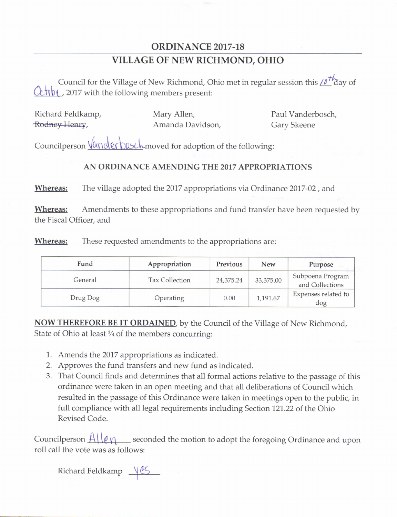## ORDINANCE 2017-18 VILLAGE OF NEW RICHMOND, OHIO

Council for the Village of New Richmond, Ohio met in regular session this  $\ell \delta^{+}$  day of  $\frac{\partial \mathbf{F}}{\partial \mathbf{F}}$ , 2017 with the following members present:

|               | Richard Feldkamp, |
|---------------|-------------------|
| Rodney Henry, |                   |

Mary Allen, Paul Vanderbosch, veli, Amanda Davidson, Gary Skeene

Councilperson Vanderbusch moved for adoption of the following:

## AN ORDINANCE AMENDING THE 2017 APPROPRIATIONS

Whereas: The village adopted the 2017 appropriations via Ordinance 2017-02, and

Whereas: Amendments to these appropriations and fund transfer have been requested by the Fiscal Officer, and

Whereas: These requested amendments to the appropriations are:

| Fund     | Appropriation  | Previous  | <b>New</b> | Purpose                             |
|----------|----------------|-----------|------------|-------------------------------------|
| General  | Tax Collection | 24,375.24 | 33,375.00  | Subpoena Program<br>and Collections |
| Drug Dog | Operating      | 0.00      | 1,191.67   | Expenses related to<br>dog          |

**NOW THEREFORE BE IT ORDAINED**, by the Council of the Village of New Richmond, State of Ohio at least  $\frac{3}{4}$  of the members concurring:

- 1. Amends the 2017 appropriations as indicated.
- 2. Approves the fund transfers and new fund as indicated.
- 3. That Council finds and determines that all formal actions relative to the passage of this ordinance were taken in an open meeting and that all deliberations of Council which resulted in the passage of this Ordinance were taken in meetings open to the public, in full compliance with all legal requirements including Section 121. 22 of the Ohio Revised Code.

Councilperson  $\frac{A \cup e_{\mathcal{V}}}{P}$  seconded the motion to adopt the foregoing Ordinance and upon roll call the vote was as follows:

Richard Feldkamp  $\underline{\vee}$ es